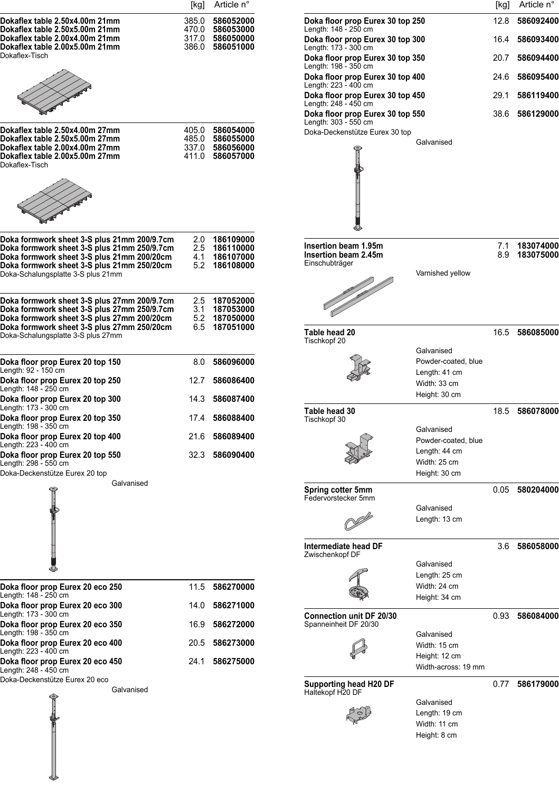| Doka floor r<br>Length: 148 -<br>Doka floor r<br>Length: 173 -<br>Doka floor p<br>Length: 198 -                  |
|------------------------------------------------------------------------------------------------------------------|
| Doka floor r<br>Length: 223 -<br>Doka floor r<br>Length: 248 -<br>Doka floor p<br>Length: $303 -$<br>Doka-Decker |
|                                                                                                                  |
|                                                                                                                  |
|                                                                                                                  |
| <b>Insertion be</b><br>Insertion be<br>Einschubträg                                                              |
| Table head<br>Tischkopf 20                                                                                       |
|                                                                                                                  |
|                                                                                                                  |
|                                                                                                                  |
| Table head<br>Tischkopf 30                                                                                       |
|                                                                                                                  |
|                                                                                                                  |
|                                                                                                                  |
| Spring cotte<br>Federvorstec                                                                                     |
|                                                                                                                  |
| <b>Intermediat</b><br>Zwischenkop                                                                                |
|                                                                                                                  |
|                                                                                                                  |
| Connection<br>Spanneinheit                                                                                       |
|                                                                                                                  |
|                                                                                                                  |
| Supporting<br>Haltekopf H2                                                                                       |
|                                                                                                                  |
|                                                                                                                  |

 $\frac{1}{2}$ 

| [kg]                 | Article n°                          |                                                                                  |                                                | [kg]       | Article n°             |
|----------------------|-------------------------------------|----------------------------------------------------------------------------------|------------------------------------------------|------------|------------------------|
| 35.O<br>70.0         | 586052000<br>586053000              | Doka floor prop Eurex 30 top 250<br>Length: 148 - 250 cm                         |                                                | 12.8       | 586092400              |
| 17.0<br>36.0         | 586050000<br>586051000              | Doka floor prop Eurex 30 top 300                                                 |                                                | 16.4       | 586093400              |
|                      |                                     | Length: 173 - 300 cm<br>Doka floor prop Eurex 30 top 350<br>Length: 198 - 350 cm |                                                | 20.7       | 586094400              |
|                      |                                     | Doka floor prop Eurex 30 top 400                                                 |                                                | 24.6       | 586095400              |
|                      |                                     | Length: 223 - 400 cm<br>Doka floor prop Eurex 30 top 450                         |                                                | 29.1       | 586119400              |
|                      |                                     | Length: 248 - 450 cm<br>Doka floor prop Eurex 30 top 550<br>Length: 303 - 550 cm |                                                | 38.6       | 586129000              |
| )5.0                 | 586054000                           | Doka-Deckenstütze Eurex 30 top                                                   |                                                |            |                        |
| 35 O<br>37.0<br>11.0 | 586055000<br>586056000<br>586057000 |                                                                                  | Galvanised                                     |            |                        |
| 2.0<br>2.5<br>4.1    | 186109000<br>186110000<br>186107000 | Insertion beam 1.95m<br>Insertion beam 2.45m                                     |                                                | 7.1<br>8.9 | 183074000<br>183075000 |
| 5.2                  | 186108000                           | Einschubträger                                                                   | Varnished yellow                               |            |                        |
|                      |                                     |                                                                                  |                                                |            |                        |
| 2.5<br>3.1           | 187052000<br>187053000              |                                                                                  |                                                |            |                        |
| 5.2<br>6.5           | 187050000<br>187051000              | Table head 20<br>Tischkopf 20                                                    |                                                | 16.5       | 586085000              |
| 8.0                  | 586096000                           |                                                                                  | Galvanised<br>Powder-coated, blue              |            |                        |
| 12.7                 | 586086400                           |                                                                                  | Length: 41 cm<br>Width: 33 cm                  |            |                        |
| 14.3                 | 586087400                           |                                                                                  | Height: 30 cm                                  |            |                        |
| 17.4                 | 586088400                           | Table head 30<br>Tischkopf 30                                                    |                                                | 18.5       | 586078000              |
| 21.6                 | 586089400                           |                                                                                  | Galvanised<br>Powder-coated, blue              |            |                        |
| 32.3                 | 586090400                           |                                                                                  | Length: 44 cm<br>Width: 25 cm<br>Height: 30 cm |            |                        |
|                      |                                     | Spring cotter 5mm<br>Federvorstecker 5mm                                         |                                                |            | 0.05 580204000         |
|                      |                                     |                                                                                  | Galvanised<br>Length: 13 cm                    |            |                        |
|                      |                                     | Intermediate head DF<br>Zwischenkopf DF                                          |                                                | 3.6        | 586058000              |
|                      |                                     |                                                                                  | Galvanised<br>Length: 25 cm                    |            |                        |
| 11.5                 | 586270000                           |                                                                                  | Width: 24 cm<br>Height: 34 cm                  |            |                        |
| 14.0                 | 586271000                           | <b>Connection unit DF 20/30</b>                                                  |                                                | 0.93       | 586084000              |
| 16.9                 | 586272000                           | Spanneinheit DF 20/30                                                            | Galvanised                                     |            |                        |
| 20.5                 | 586273000                           |                                                                                  | Width: 15 cm                                   |            |                        |
| 24.1                 | 586275000                           |                                                                                  | Height: 12 cm<br>Width-across: 19 mm           |            |                        |
|                      |                                     | Supporting head H20 DF<br>Haltekopf H20 DF                                       |                                                | 0.77       | 586179000              |
|                      |                                     |                                                                                  | Galvanised<br>Length: 19 cm<br>Width: 11 cm    |            |                        |

Height: 8 cm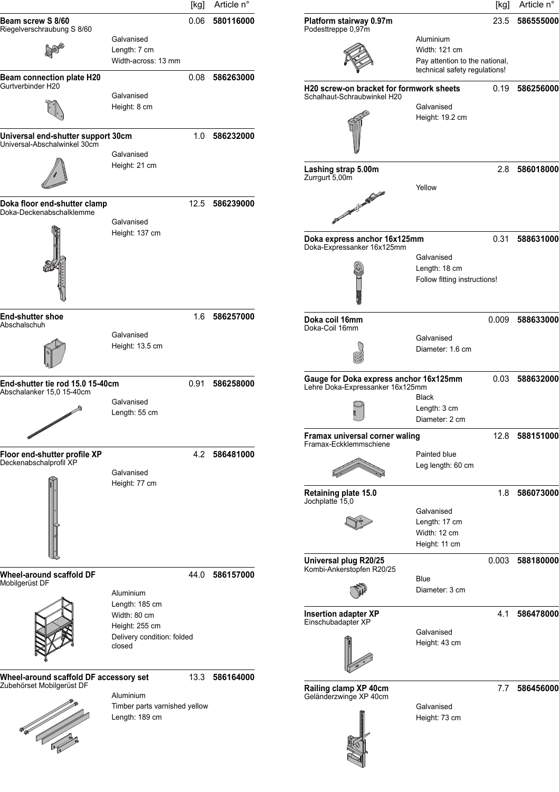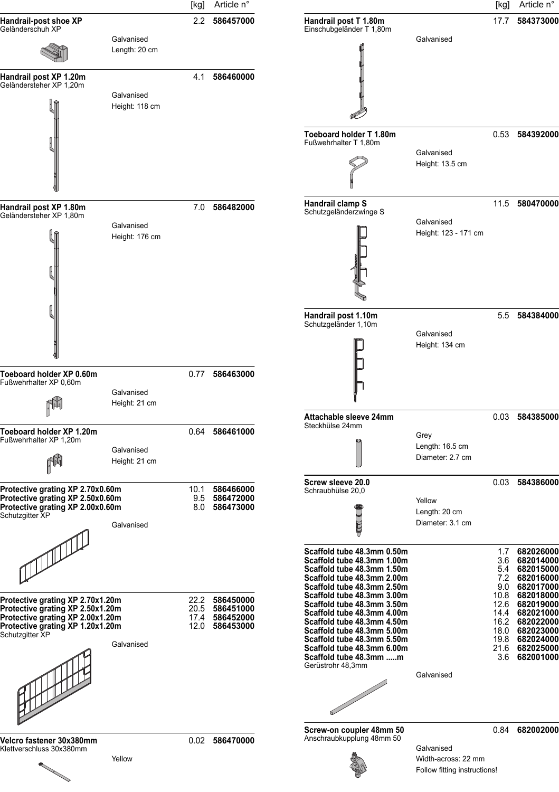